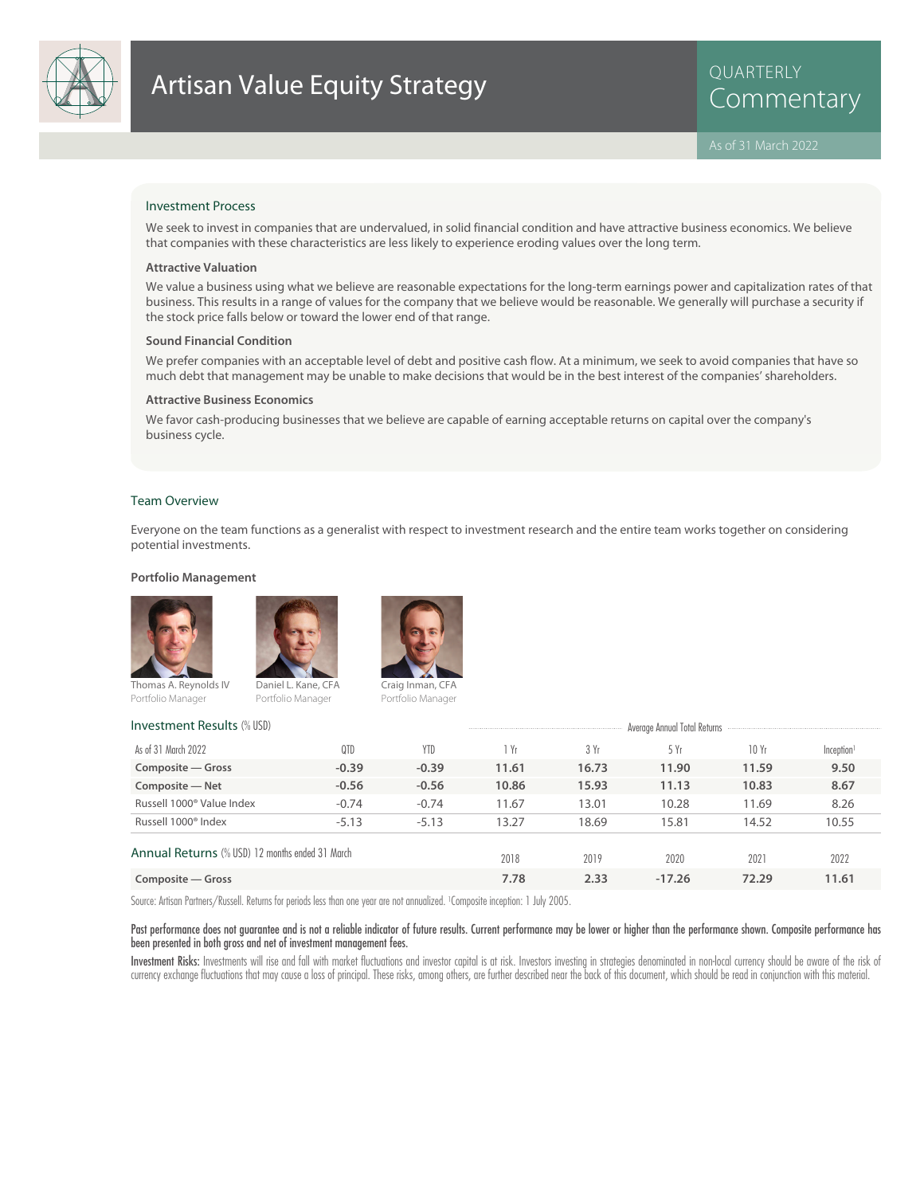

# Artisan Value Equity Strategy<br>
Commentary

QUARTERLY

### Investment Process

We seek to invest in companies that are undervalued, in solid financial condition and have attractive business economics. We believe that companies with these characteristics are less likely to experience eroding values over the long term.

### **Attractive Valuation**

We value a business using what we believe are reasonable expectations for the long-term earnings power and capitalization rates of that business. This results in a range of values for the company that we believe would be reasonable. We generally will purchase a security if the stock price falls below or toward the lower end of that range.

### **Sound Financial Condition**

We prefer companies with an acceptable level of debt and positive cash flow. At a minimum, we seek to avoid companies that have so much debt that management may be unable to make decisions that would be in the best interest of the companies' shareholders.

### **Attractive Business Economics**

We favor cash-producing businesses that we believe are capable of earning acceptable returns on capital over the company's business cycle.

#### Team Overview

Everyone on the team functions as a generalist with respect to investment research and the entire team works together on considering potential investments.

### **Portfolio Management**





Portfolio Manager Portfolio Manager



Portfolio Manager

| <b>Investment Results (% USD)</b>               |         | Average Annual Total Returns |       |       |          |       |                        |  |
|-------------------------------------------------|---------|------------------------------|-------|-------|----------|-------|------------------------|--|
| As of 31 March 2022                             | QTD     | YTD                          | Yr    | 3 Yr  | 5 Yr     | 10Yr  | Inception <sup>1</sup> |  |
| Composite - Gross                               | $-0.39$ | $-0.39$                      | 11.61 | 16.73 | 11.90    | 11.59 | 9.50                   |  |
| Composite - Net                                 | $-0.56$ | $-0.56$                      | 10.86 | 15.93 | 11.13    | 10.83 | 8.67                   |  |
| Russell 1000 <sup>®</sup> Value Index           | $-0.74$ | $-0.74$                      | 11.67 | 13.01 | 10.28    | 11.69 | 8.26                   |  |
| Russell 1000 <sup>®</sup> Index                 | $-5.13$ | $-5.13$                      | 13.27 | 18.69 | 15.81    | 14.52 | 10.55                  |  |
| Annual Returns (% USD) 12 months ended 31 March |         |                              | 2018  | 2019  | 2020     | 2021  | 2022                   |  |
| Composite – Gross                               |         |                              | 7.78  | 2.33  | $-17.26$ | 72.29 | 11.61                  |  |

Source: Artisan Partners/Russell. Returns for periods less than one year are not annualized. <sup>1</sup> Composite inception: 1 July 2005.

### Past performance does not guarantee and is not a reliable indicator of future results. Current performance may be lower or higher than the performance shown. Composite performance has been presented in both gross and net of investment management fees.

Investment Risks: Investments will rise and fall with market fluctuations and investor capital is at risk. Investors investing in strategies denominated in non-local currency should be aware of the risk of currency exchange fluctuations that may cause a loss of principal. These risks, among others, are further described near the back of this document, which should be read in conjunction with this material.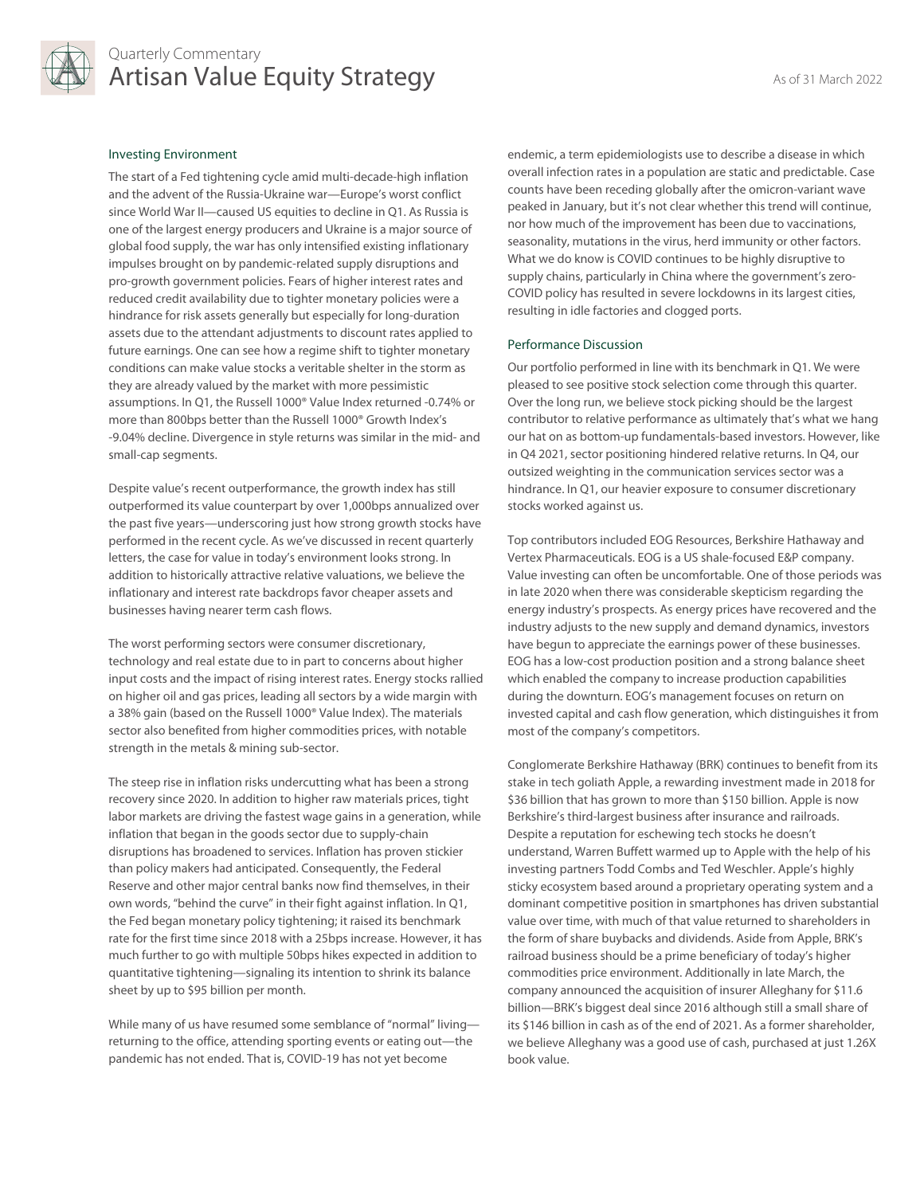

### Quarterly Commentary Artisan Value Equity Strategy Artisan March 2022

### Investing Environment

The start of a Fed tightening cycle amid multi-decade-high inflation and the advent of the Russia-Ukraine war—Europe's worst conflict since World War II—caused US equities to decline in Q1. As Russia is one of the largest energy producers and Ukraine is a major source of global food supply, the war has only intensified existing inflationary impulses brought on by pandemic-related supply disruptions and pro-growth government policies. Fears of higher interest rates and reduced credit availability due to tighter monetary policies were a hindrance for risk assets generally but especially for long-duration assets due to the attendant adjustments to discount rates applied to future earnings. One can see how a regime shift to tighter monetary conditions can make value stocks a veritable shelter in the storm as they are already valued by the market with more pessimistic assumptions. In Q1, the Russell 1000® Value Index returned -0.74% or more than 800bps better than the Russell 1000® Growth Index's -9.04% decline. Divergence in style returns was similar in the mid- and small-cap segments.

Despite value's recent outperformance, the growth index has still outperformed its value counterpart by over 1,000bps annualized over the past five years—underscoring just how strong growth stocks have performed in the recent cycle. As we've discussed in recent quarterly letters, the case for value in today's environment looks strong. In addition to historically attractive relative valuations, we believe the inflationary and interest rate backdrops favor cheaper assets and businesses having nearer term cash flows.

The worst performing sectors were consumer discretionary, technology and real estate due to in part to concerns about higher input costs and the impact of rising interest rates. Energy stocks rallied on higher oil and gas prices, leading all sectors by a wide margin with a 38% gain (based on the Russell 1000® Value Index). The materials sector also benefited from higher commodities prices, with notable strength in the metals & mining sub-sector.

The steep rise in inflation risks undercutting what has been a strong recovery since 2020. In addition to higher raw materials prices, tight labor markets are driving the fastest wage gains in a generation, while inflation that began in the goods sector due to supply-chain disruptions has broadened to services. Inflation has proven stickier than policy makers had anticipated. Consequently, the Federal Reserve and other major central banks now find themselves, in their own words, "behind the curve" in their fight against inflation. In Q1, the Fed began monetary policy tightening; it raised its benchmark rate for the first time since 2018 with a 25bps increase. However, it has much further to go with multiple 50bps hikes expected in addition to quantitative tightening—signaling its intention to shrink its balance sheet by up to \$95 billion per month.

While many of us have resumed some semblance of "normal" livingreturning to the office, attending sporting events or eating out—the pandemic has not ended. That is, COVID-19 has not yet become

endemic, a term epidemiologists use to describe a disease in which overall infection rates in a population are static and predictable. Case counts have been receding globally after the omicron-variant wave peaked in January, but it's not clear whether this trend will continue, nor how much of the improvement has been due to vaccinations, seasonality, mutations in the virus, herd immunity or other factors. What we do know is COVID continues to be highly disruptive to supply chains, particularly in China where the government's zero-COVID policy has resulted in severe lockdowns in its largest cities, resulting in idle factories and clogged ports.

### Performance Discussion

Our portfolio performed in line with its benchmark in Q1. We were pleased to see positive stock selection come through this quarter. Over the long run, we believe stock picking should be the largest contributor to relative performance as ultimately that's what we hang our hat on as bottom-up fundamentals-based investors. However, like in Q4 2021, sector positioning hindered relative returns. In Q4, our outsized weighting in the communication services sector was a hindrance. In Q1, our heavier exposure to consumer discretionary stocks worked against us.

Top contributors included EOG Resources, Berkshire Hathaway and Vertex Pharmaceuticals. EOG is a US shale-focused E&P company. Value investing can often be uncomfortable. One of those periods was in late 2020 when there was considerable skepticism regarding the energy industry's prospects. As energy prices have recovered and the industry adjusts to the new supply and demand dynamics, investors have begun to appreciate the earnings power of these businesses. EOG has a low-cost production position and a strong balance sheet which enabled the company to increase production capabilities during the downturn. EOG's management focuses on return on invested capital and cash flow generation, which distinguishes it from most of the company's competitors.

Conglomerate Berkshire Hathaway (BRK) continues to benefit from its stake in tech goliath Apple, a rewarding investment made in 2018 for \$36 billion that has grown to more than \$150 billion. Apple is now Berkshire's third-largest business after insurance and railroads. Despite a reputation for eschewing tech stocks he doesn't understand, Warren Buffett warmed up to Apple with the help of his investing partners Todd Combs and Ted Weschler. Apple's highly sticky ecosystem based around a proprietary operating system and a dominant competitive position in smartphones has driven substantial value over time, with much of that value returned to shareholders in the form of share buybacks and dividends. Aside from Apple, BRK's railroad business should be a prime beneficiary of today's higher commodities price environment. Additionally in late March, the company announced the acquisition of insurer Alleghany for \$11.6 billion—BRK's biggest deal since 2016 although still a small share of its \$146 billion in cash as of the end of 2021. As a former shareholder, we believe Alleghany was a good use of cash, purchased at just 1.26X book value.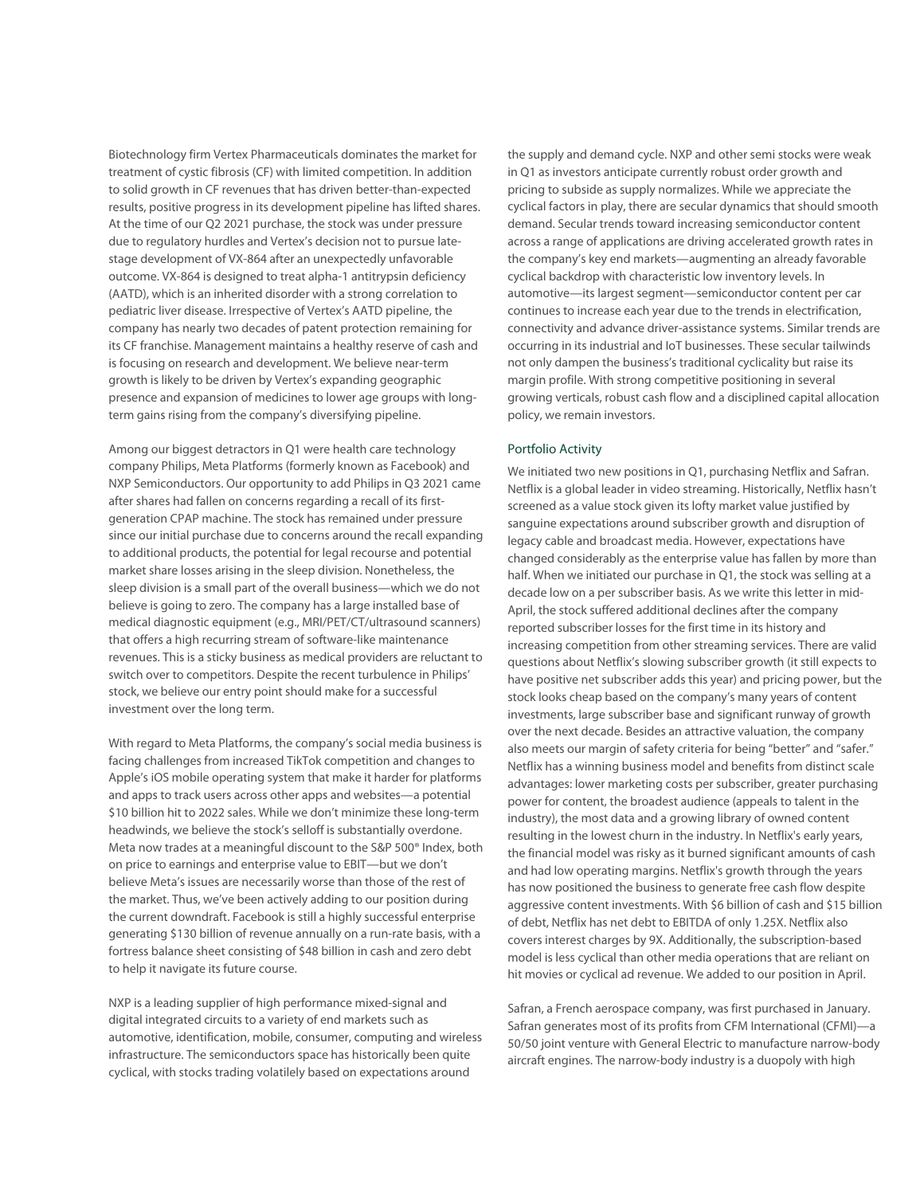Biotechnology firm Vertex Pharmaceuticals dominates the market for treatment of cystic fibrosis (CF) with limited competition. In addition to solid growth in CF revenues that has driven better-than-expected results, positive progress in its development pipeline has lifted shares. At the time of our Q2 2021 purchase, the stock was under pressure due to regulatory hurdles and Vertex's decision not to pursue latestage development of VX-864 after an unexpectedly unfavorable outcome. VX-864 is designed to treat alpha-1 antitrypsin deficiency (AATD), which is an inherited disorder with a strong correlation to pediatric liver disease. Irrespective of Vertex's AATD pipeline, the company has nearly two decades of patent protection remaining for its CF franchise. Management maintains a healthy reserve of cash and is focusing on research and development. We believe near-term growth is likely to be driven by Vertex's expanding geographic presence and expansion of medicines to lower age groups with longterm gains rising from the company's diversifying pipeline.

Among our biggest detractors in Q1 were health care technology company Philips, Meta Platforms (formerly known as Facebook) and NXP Semiconductors. Our opportunity to add Philips in Q3 2021 came after shares had fallen on concerns regarding a recall of its firstgeneration CPAP machine. The stock has remained under pressure since our initial purchase due to concerns around the recall expanding to additional products, the potential for legal recourse and potential market share losses arising in the sleep division. Nonetheless, the sleep division is a small part of the overall business—which we do not believe is going to zero. The company has a large installed base of medical diagnostic equipment (e.g., MRI/PET/CT/ultrasound scanners) that offers a high recurring stream of software-like maintenance revenues. This is a sticky business as medical providers are reluctant to switch over to competitors. Despite the recent turbulence in Philips' stock, we believe our entry point should make for a successful investment over the long term.

With regard to Meta Platforms, the company's social media business is facing challenges from increased TikTok competition and changes to Apple's iOS mobile operating system that make it harder for platforms and apps to track users across other apps and websites—a potential \$10 billion hit to 2022 sales. While we don't minimize these long-term headwinds, we believe the stock's selloff is substantially overdone. Meta now trades at a meaningful discount to the S&P 500® Index, both on price to earnings and enterprise value to EBIT—but we don't believe Meta's issues are necessarily worse than those of the rest of the market. Thus, we've been actively adding to our position during the current downdraft. Facebook is still a highly successful enterprise generating \$130 billion of revenue annually on a run-rate basis, with a fortress balance sheet consisting of \$48 billion in cash and zero debt to help it navigate its future course.

NXP is a leading supplier of high performance mixed-signal and digital integrated circuits to a variety of end markets such as automotive, identification, mobile, consumer, computing and wireless infrastructure. The semiconductors space has historically been quite cyclical, with stocks trading volatilely based on expectations around

the supply and demand cycle. NXP and other semi stocks were weak in Q1 as investors anticipate currently robust order growth and pricing to subside as supply normalizes. While we appreciate the cyclical factors in play, there are secular dynamics that should smooth demand. Secular trends toward increasing semiconductor content across a range of applications are driving accelerated growth rates in the company's key end markets—augmenting an already favorable cyclical backdrop with characteristic low inventory levels. In automotive—its largest segment—semiconductor content per car continues to increase each year due to the trends in electrification, connectivity and advance driver-assistance systems. Similar trends are occurring in its industrial and IoT businesses. These secular tailwinds not only dampen the business's traditional cyclicality but raise its margin profile. With strong competitive positioning in several growing verticals, robust cash flow and a disciplined capital allocation policy, we remain investors.

### Portfolio Activity

We initiated two new positions in Q1, purchasing Netflix and Safran. Netflix is a global leader in video streaming. Historically, Netflix hasn't screened as a value stock given its lofty market value justified by sanguine expectations around subscriber growth and disruption of legacy cable and broadcast media. However, expectations have changed considerably as the enterprise value has fallen by more than half. When we initiated our purchase in Q1, the stock was selling at a decade low on a per subscriber basis. As we write this letter in mid-April, the stock suffered additional declines after the company reported subscriber losses for the first time in its history and increasing competition from other streaming services. There are valid questions about Netflix's slowing subscriber growth (it still expects to have positive net subscriber adds this year) and pricing power, but the stock looks cheap based on the company's many years of content investments, large subscriber base and significant runway of growth over the next decade. Besides an attractive valuation, the company also meets our margin of safety criteria for being "better" and "safer." Netflix has a winning business model and benefits from distinct scale advantages: lower marketing costs per subscriber, greater purchasing power for content, the broadest audience (appeals to talent in the industry), the most data and a growing library of owned content resulting in the lowest churn in the industry. In Netflix's early years, the financial model was risky as it burned significant amounts of cash and had low operating margins. Netflix's growth through the years has now positioned the business to generate free cash flow despite aggressive content investments. With \$6 billion of cash and \$15 billion of debt, Netflix has net debt to EBITDA of only 1.25X. Netflix also covers interest charges by 9X. Additionally, the subscription-based model is less cyclical than other media operations that are reliant on hit movies or cyclical ad revenue. We added to our position in April.

Safran, a French aerospace company, was first purchased in January. Safran generates most of its profits from CFM International (CFMI)—a 50/50 joint venture with General Electric to manufacture narrow-body aircraft engines. The narrow-body industry is a duopoly with high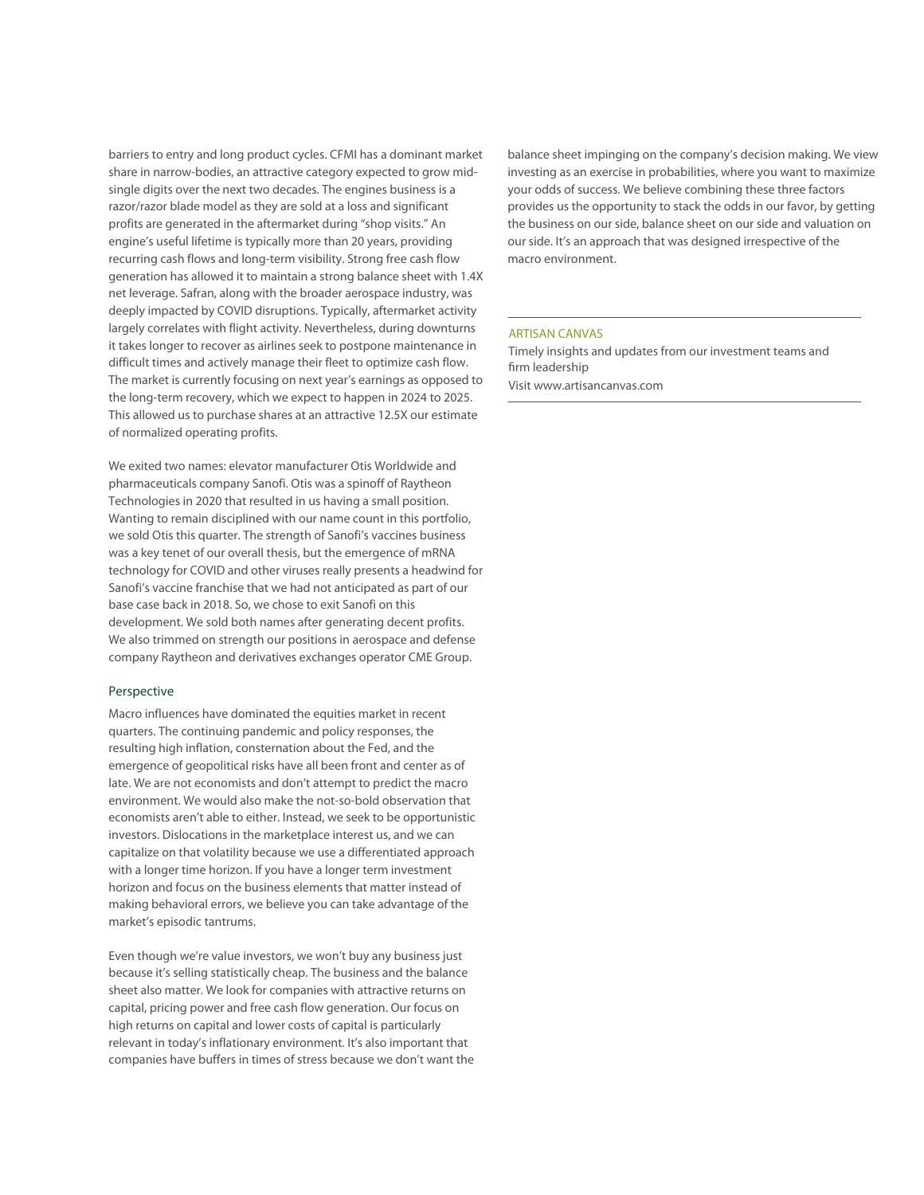barriers to entry and long product cycles. CFMI has a dominant market share in narrow-bodies, an attractive category expected to grow midsingle digits over the next two decades. The engines business is a razor/razor blade model as they are sold at a loss and significant profits are generated in the aftermarket during "shop visits." An engine's useful lifetime is typically more than 20 years, providing recurring cash flows and long-term visibility. Strong free cash flow generation has allowed it to maintain a strong balance sheet with 1.4X net leverage. Safran, along with the broader aerospace industry, was deeply impacted by COVID disruptions. Typically, aftermarket activity largely correlates with flight activity. Nevertheless, during downturns it takes longer to recover as airlines seek to postpone maintenance in difficult times and actively manage their fleet to optimize cash flow. The market is currently focusing on next year's earnings as opposed to the long-term recovery, which we expect to happen in 2024 to 2025. This allowed us to purchase shares at an attractive 12.5X our estimate of normalized operating profits.

We exited two names: elevator manufacturer Otis Worldwide and pharmaceuticals company Sanofi. Otis was a spinoff of Raytheon Technologies in 2020 that resulted in us having a small position. Wanting to remain disciplined with our name count in this portfolio, we sold Otis this quarter. The strength of Sanofi's vaccines business was a key tenet of our overall thesis, but the emergence of mRNA technology for COVID and other viruses really presents a headwind for Sanofi's vaccine franchise that we had not anticipated as part of our base case back in 2018. So, we chose to exit Sanofi on this development. We sold both names after generating decent profits. We also trimmed on strength our positions in aerospace and defense company Raytheon and derivatives exchanges operator CME Group.

### Perspective

Macro influences have dominated the equities market in recent quarters. The continuing pandemic and policy responses, the resulting high inflation, consternation about the Fed, and the emergence of geopolitical risks have all been front and center as of late. We are not economists and don't attempt to predict the macro environment. We would also make the not-so-bold observation that economists aren't able to either. Instead, we seek to be opportunistic investors. Dislocations in the marketplace interest us, and we can capitalize on that volatility because we use a differentiated approach with a longer time horizon. If you have a longer term investment horizon and focus on the business elements that matter instead of making behavioral errors, we believe you can take advantage of the market's episodic tantrums.

Even though we're value investors, we won't buy any business just because it's selling statistically cheap. The business and the balance sheet also matter. We look for companies with attractive returns on capital, pricing power and free cash flow generation. Our focus on high returns on capital and lower costs of capital is particularly relevant in today's inflationary environment. It's also important that companies have buffers in times of stress because we don't want the balance sheet impinging on the company's decision making. We view investing as an exercise in probabilities, where you want to maximize your odds of success. We believe combining these three factors provides us the opportunity to stack the odds in our favor, by getting the business on our side, balance sheet on our side and valuation on our side. It's an approach that was designed irrespective of the macro environment.

### ARTISAN CANVAS

Timely insights and updates from our investment teams and firm leadership Visit www.artisancanvas.com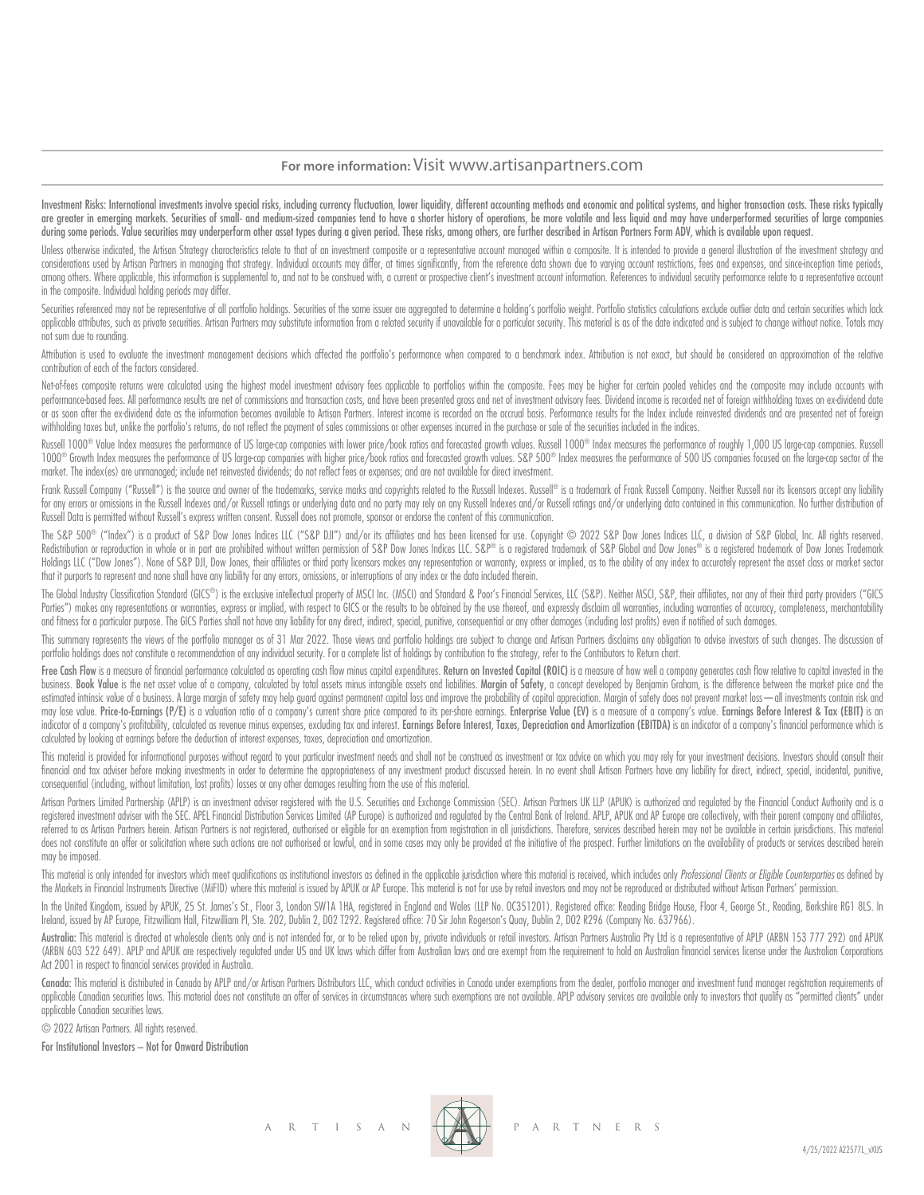### **For more information:** Visit www.artisanpartners.com

Investment Risks: International investments involve special risks, including currency fluctuation, lower liquidity, different accounting methods and economic and political systems, and higher transaction costs. These risks are greater in emerging markets. Securities of small- and medium-sized companies tend to have a shorter history of operations, be more volatile and less liquid and may have underperformed securities of large companies during some periods. Value securities may underperform other asset types during a given period. These risks, among others, are further described in Artisan Partners Form ADV, which is available upon request.

Unless otherwise indicated, the Artisan Strategy characteristics relate to that of an investment composite or a representative account managed within a composite. It is intended to provide a general illustration of the inv considerations used by Artisan Partners in managing that strategy. Individual accounts may differ, at times significantly, from the reference data shown due to varying account restrictions, fees and expenses, and since inc among others. Where applicable, this information is supplemental to, and not to be construed with, a current or prospective client's investment account information. References to individual security performance relate to a in the composite. Individual holding periods may differ.

Securities referenced may not be representative of all portfolio holdings. Securities of the same issuer are aggregated to determine a holding's portfolio weight. Portfolio statistics calculations exclude outlier data and applicable attributes, such as private securities. Artisan Partners may substitute information from a related security if unavailable for a particular security. This material is as of the date indicated and is subject to c not sum due to rounding.

Attribution is used to evaluate the investment management decisions which affected the portfolio's performance when compared to a benchmark index. Attribution is not exact, but should be considered an approximation of the contribution of each of the factors considered.

Net-of-fees composite returns were calculated using the highest model investment advisory fees applicable to portfolios within the composite. Fees may be higher for certain pooled vehicles and the composite may include acc performance based fees. All performance results are net of commissions and transaction costs, and have been presented gross and net of investment advisory fees. Dividend income is recorded net of foreign withholding taxes or as soon after the ex-dividend date as the information becomes available to Artisan Partners. Interest income is recorded on the accrual basis. Performance results for the Index include reinvested dividends and are prese withholding taxes but, unlike the portfolio's returns, do not reflect the payment of sales commissions or other expenses incurred in the purchase or sale of the securities included in the indices.

Russell 1000® Value Index measures the performance of US large-cap companies with lower price/book ratios and forecasted growth values. Russell 1000® Index measures the performance of roughly 1,000 US large-cap companies. 1000® Growth Index measures the performance of US large-cap companies with higher price/book ratios and forecasted growth values. S&P 500® Index measures the performance of 500 US companies focused on the large-cap sector market. The index(es) are unmanaged; include net reinvested dividends; do not reflect fees or expenses; and are not available for direct investment.

Frank Russell Company ("Russell") is the source and owner of the trademarks, service marks and copyrights related to the Russell Indexes. Russell® is a trademark of Frank Russell Company. Neither Russell nor its licensors for any errors or omissions in the Russell Indexes and/or Russell ratings or underlying data and no party may rely on any Russell Indexes and/or Russell ratings and/or underlying data contained in this communication. No fu Russell Data is permitted without Russell's express written consent. Russell does not promote, sponsor or endorse the content of this communication.

The S&P 500® ("Index") is a product of S&P Dow Jones Indices LLC ("S&P DJI") and/or its affiliates and has been licensed for use. Copyright © 2022 S&P Dow Jones Indices LLC, a division of S&P Global, Inc. All rights reserv Redistribution or reproduction in whole or in part are prohibited without written permission of S&P Dow Jones Indices LLC. S&P® is a registered trademark of S&P Global and Dow Jones® is a registered trademark of Dow Jones Holdings LLC ("Dow Jones"). None of S&P DJI, Dow Jones, their affiliates or third party licensors makes any representation or warranty, express or implied, as to the ability of any index to accurately represent the asset c that it purports to represent and none shall have any liability for any errors, omissions, or interruptions of any index or the data included therein.

The Global Industry Classification Standard (GICS®) is the exclusive intellectual property of MSCI Inc. (MSCI) and Standard & Poor's Financial Services, LLC (S&P). Neither MSCI, S&P, their affiliates, nor any of their thir Parties") makes any representations or warranties, express or implied, with respect to GICS or the results to be obtained by the use thereof, and expressly disclaim all warranties, including warranties of accuracy, complet and fitness for a particular purpose. The GICS Parties shall not have any liability for any direct, indirect, special, punitive, consequential or any other damages (including lost profits) even if notified of such damages.

This summary represents the views of the portfolio manager as of 31 Mar 2022. Those views and portfolio holdings are subject to change and Artisan Partners disclaims any obligation to advise investors of such changes. The portfolio holdings does not constitute a recommendation of any individual security. For a complete list of holdings by contribution to the strategy, refer to the Contributors to Return chart.

Free Cash Flow is a measure of financial performance calculated as operating cash flow minus capital expenditures. Return on Invested Capital (ROIC) is a measure of how well a company generates cash flow relative to capita business. Book Value is the net asset value of a company, calculated by total assets minus intangible assets and liabilities. Margin of Safety, a concept developed by Benjamin Graham, is the difference between the market p estimated intrinsic value of a business. A large margin of safety may help guard against permanent capital loss and improve the probability of capital appreciation. Margin of safety does not prevent market loss — all inves may lose value. Price-to-Earnings (P/E) is a valuation ratio of a company's current share price companed to its per-share earnings. Enterprise Value (EV) is a measure of a company's value. Earnings Before Interest & Tax (E indicator of a company's profitability, calculated as revenue minus expenses, excluding tax and interest. Earnings Before Interest. Taxes, Depreciation and Amortization (EBITDA) is an indicator of a company's financial per calculated by looking at earnings before the deduction of interest expenses, taxes, depreciation and amortization.

This material is provided for informational purposes without regard to your particular investment needs and shall not be construed as investment or tax advice on which you may rely for your investment decisions. Investors financial and tax adviser before making investments in order to determine the appropriateness of any investment product discussed herein. In no event shall Artisan Partners have any liability for direct, indirect, special, consequential (including, without limitation, lost profits) losses or any other damages resulting from the use of this material.

Artisan Partners Limited Partnership (APLP) is an investment adviser registered with the U.S. Securities and Exchange Commission (SEC). Artisan Partners UK LLP (APUK) is authorized and regulated by the Financial Conduct Au registered investment adviser with the SEC. APEL Financial Distribution Services Limited (AP Europe) is authorized and regulated by the Central Bank of Ireland. APLP, APUK and AP Europe are collectively, with their parent referred to as Artisan Partners herein. Artisan Partners is not registered, authorised or eligible for an exemption from registration in all jurisdictions. Therefore, services described herein may not be available in certa does not constitute an offer or solicitation where such actions are not authorised or lawful, and in some cases may only be provided at the initiative of the prospect. Further limitations on the availability of products or may be imposed.

This material is only intended for investors which meet qualifications as institutional investors as defined in the applicable jurisdiction where this material is received, which includes only Professional Clients or Eligi the Markets in Financial Instruments Directive (MiFID) where this material is issued by APUK or AP Europe. This material is not for use by retail investors and may not be reproduced or distributed without Artisan Partners'

In the United Kingdom, issued by APUK, 25 St. James's St., Floor 3, London SW1A 1HA, registered in England and Wales (LLP No. OC351201). Registered office: Reading Bridge House, Floor 4, George St., Reading, Berkshire RG1 Ireland, issued by AP Europe, Fitzwilliam Hall, Fitzwilliam Pl, Ste. 202, Dublin 2, D02 T292. Registered office: 70 Sir John Rogerson's Quay, Dublin 2, D02 R296 (Company No. 637966).

Australia: This material is directed at wholesale clients only and is not intended for, or to be relied upon by, private individuals or retail investors. Artisan Partnes Australia Pty Ltd is a representative of APLP (ARBN (ARBN 603 522 649). APLP and APUK are respectively regulated under US and UK laws which differ from Australian laws and are exempt from the requirement to hold an Australian financial services license under the Australian Act 2001 in respect to financial services provided in Australia.

Canada: This material is distributed in Canada by APLP and/or Artisan Partners Distributors LLC, which conduct activities in Canada under exemptions from the dealer, portfolio manager and investment fund manager registrati applicable Canadian securities laws. This material does not constitute an offer of services in circumstances where such exemptions are not available. APLP advisory services are available only to investors that quality as " applicable Canadian securities laws.

© 2022 Artisan Partners. All rights reserved.

For Institutional Investors – Not for Onward Distribution